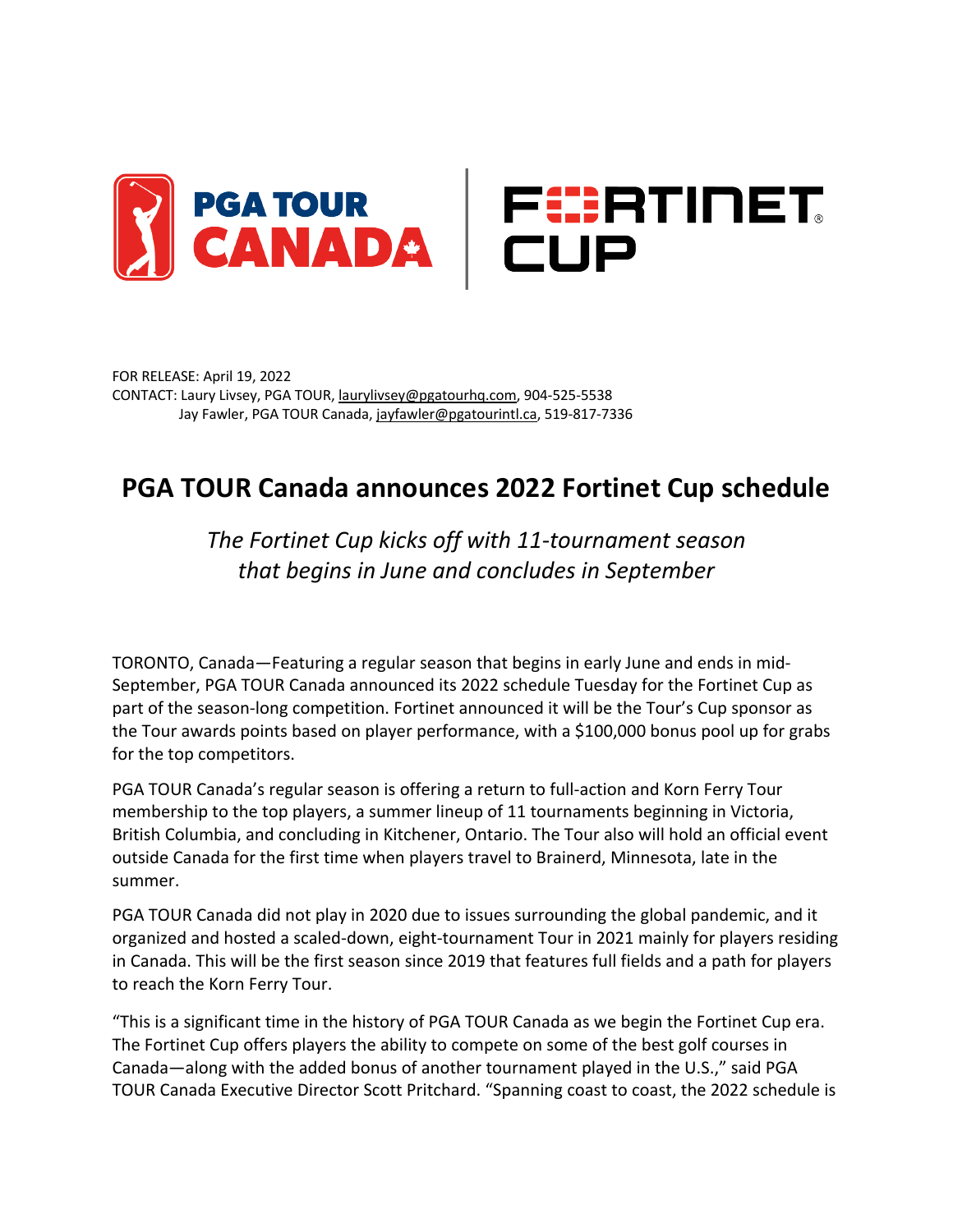

FOR RELEASE: April 19, 2022 CONTACT: Laury Livsey, PGA TOUR, laurylivsey@pgatourhq.com, 904-525-5538 Jay Fawler, PGA TOUR Canada, jayfawler@pgatourintl.ca, 519-817-7336

# **PGA TOUR Canada announces 2022 Fortinet Cup schedule**

## *The Fortinet Cup kicks off with 11-tournament season that begins in June and concludes in September*

TORONTO, Canada—Featuring a regular season that begins in early June and ends in mid-September, PGA TOUR Canada announced its 2022 schedule Tuesday for the Fortinet Cup as part of the season-long competition. Fortinet announced it will be the Tour's Cup sponsor as the Tour awards points based on player performance, with a \$100,000 bonus pool up for grabs for the top competitors.

PGA TOUR Canada's regular season is offering a return to full-action and Korn Ferry Tour membership to the top players, a summer lineup of 11 tournaments beginning in Victoria, British Columbia, and concluding in Kitchener, Ontario. The Tour also will hold an official event outside Canada for the first time when players travel to Brainerd, Minnesota, late in the summer.

PGA TOUR Canada did not play in 2020 due to issues surrounding the global pandemic, and it organized and hosted a scaled-down, eight-tournament Tour in 2021 mainly for players residing in Canada. This will be the first season since 2019 that features full fields and a path for players to reach the Korn Ferry Tour.

"This is a significant time in the history of PGA TOUR Canada as we begin the Fortinet Cup era. The Fortinet Cup offers players the ability to compete on some of the best golf courses in Canada—along with the added bonus of another tournament played in the U.S.," said PGA TOUR Canada Executive Director Scott Pritchard. "Spanning coast to coast, the 2022 schedule is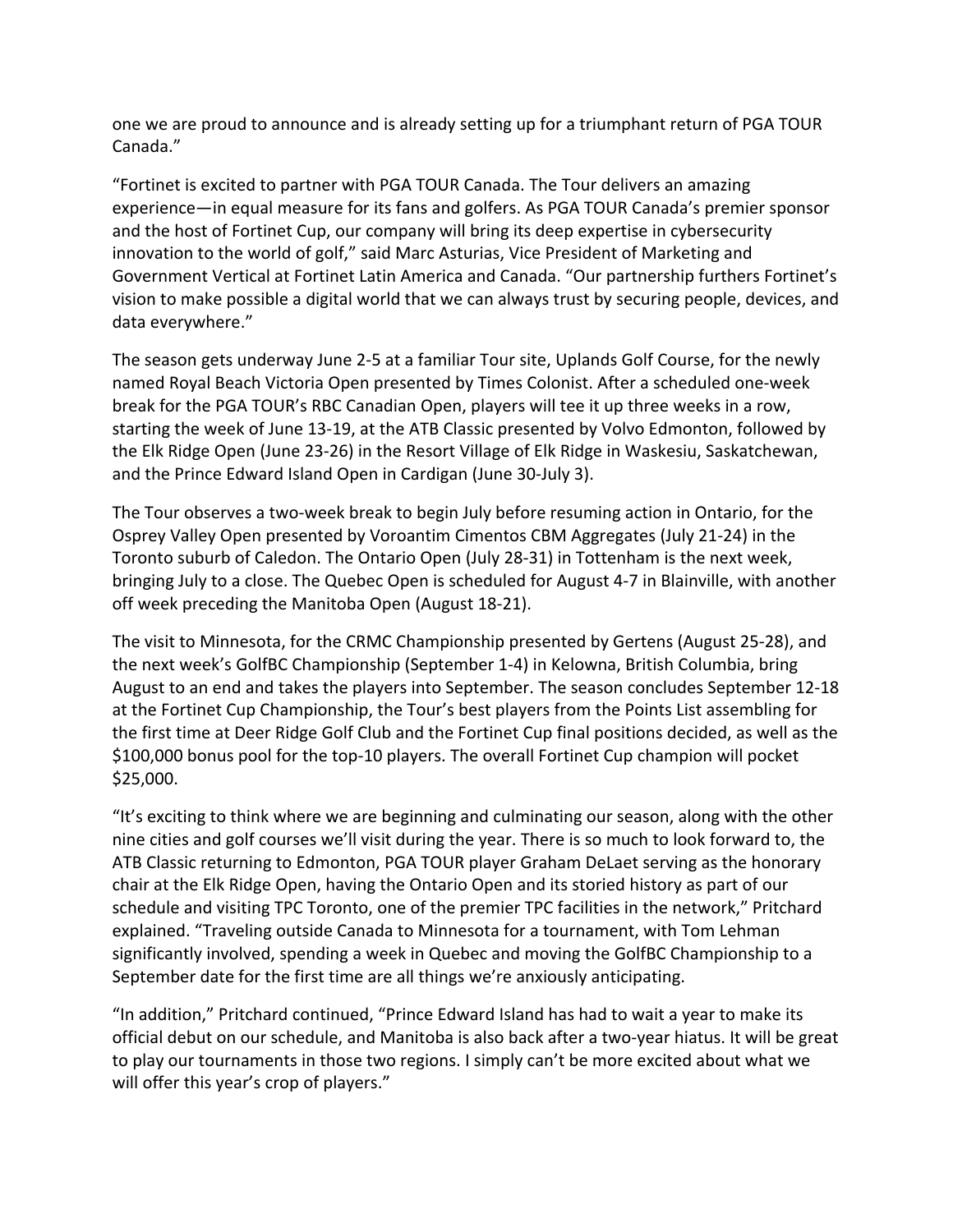one we are proud to announce and is already setting up for a triumphant return of PGA TOUR Canada."

"Fortinet is excited to partner with PGA TOUR Canada. The Tour delivers an amazing experience—in equal measure for its fans and golfers. As PGA TOUR Canada's premier sponsor and the host of Fortinet Cup, our company will bring its deep expertise in cybersecurity innovation to the world of golf," said Marc Asturias, Vice President of Marketing and Government Vertical at Fortinet Latin America and Canada. "Our partnership furthers Fortinet's vision to make possible a digital world that we can always trust by securing people, devices, and data everywhere."

The season gets underway June 2-5 at a familiar Tour site, Uplands Golf Course, for the newly named Royal Beach Victoria Open presented by Times Colonist. After a scheduled one-week break for the PGA TOUR's RBC Canadian Open, players will tee it up three weeks in a row, starting the week of June 13-19, at the ATB Classic presented by Volvo Edmonton, followed by the Elk Ridge Open (June 23-26) in the Resort Village of Elk Ridge in Waskesiu, Saskatchewan, and the Prince Edward Island Open in Cardigan (June 30-July 3).

The Tour observes a two-week break to begin July before resuming action in Ontario, for the Osprey Valley Open presented by Voroantim Cimentos CBM Aggregates (July 21-24) in the Toronto suburb of Caledon. The Ontario Open (July 28-31) in Tottenham is the next week, bringing July to a close. The Quebec Open is scheduled for August 4-7 in Blainville, with another off week preceding the Manitoba Open (August 18-21).

The visit to Minnesota, for the CRMC Championship presented by Gertens (August 25-28), and the next week's GolfBC Championship (September 1-4) in Kelowna, British Columbia, bring August to an end and takes the players into September. The season concludes September 12-18 at the Fortinet Cup Championship, the Tour's best players from the Points List assembling for the first time at Deer Ridge Golf Club and the Fortinet Cup final positions decided, as well as the \$100,000 bonus pool for the top-10 players. The overall Fortinet Cup champion will pocket \$25,000.

"It's exciting to think where we are beginning and culminating our season, along with the other nine cities and golf courses we'll visit during the year. There is so much to look forward to, the ATB Classic returning to Edmonton, PGA TOUR player Graham DeLaet serving as the honorary chair at the Elk Ridge Open, having the Ontario Open and its storied history as part of our schedule and visiting TPC Toronto, one of the premier TPC facilities in the network," Pritchard explained. "Traveling outside Canada to Minnesota for a tournament, with Tom Lehman significantly involved, spending a week in Quebec and moving the GolfBC Championship to a September date for the first time are all things we're anxiously anticipating.

"In addition," Pritchard continued, "Prince Edward Island has had to wait a year to make its official debut on our schedule, and Manitoba is also back after a two-year hiatus. It will be great to play our tournaments in those two regions. I simply can't be more excited about what we will offer this year's crop of players."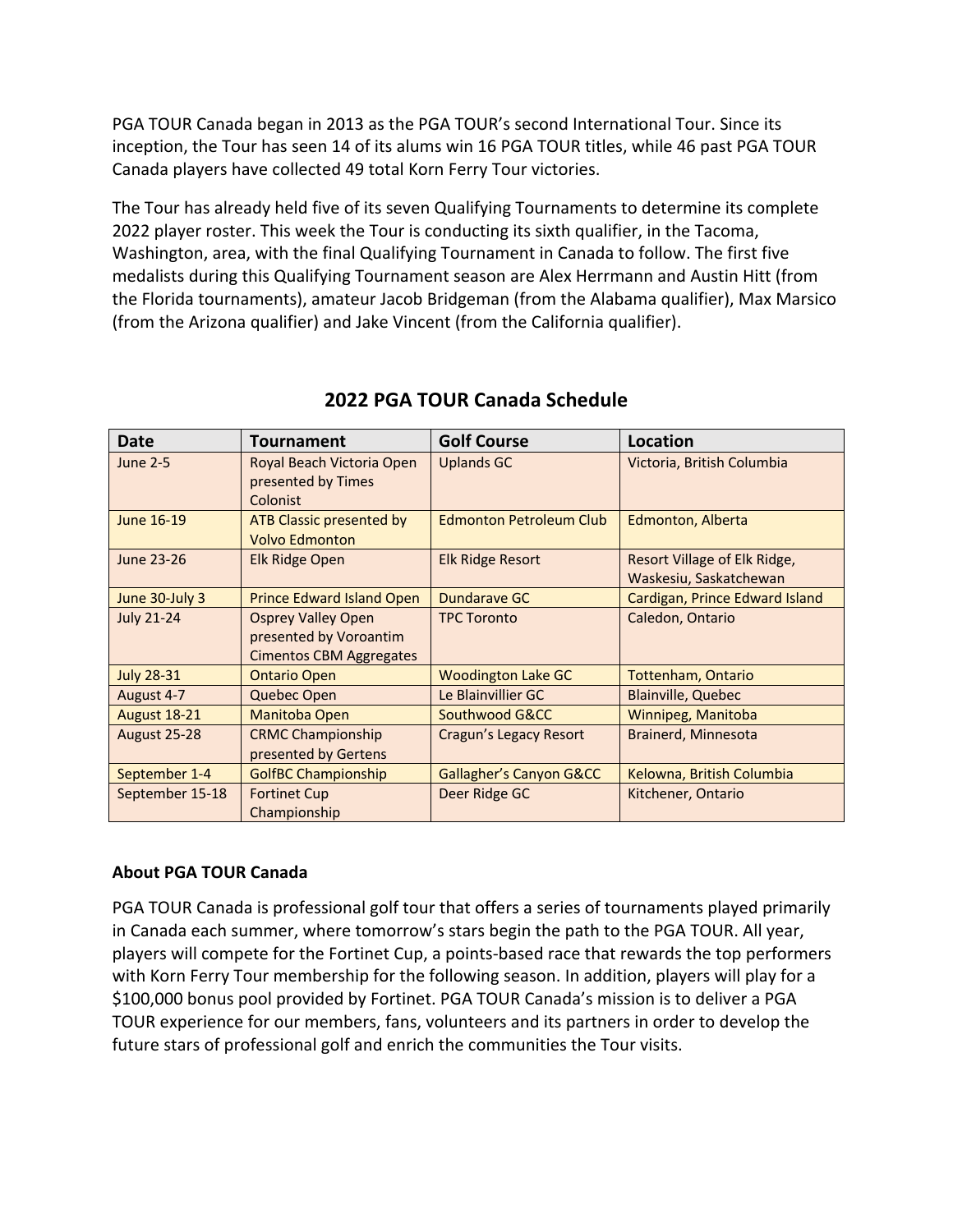PGA TOUR Canada began in 2013 as the PGA TOUR's second International Tour. Since its inception, the Tour has seen 14 of its alums win 16 PGA TOUR titles, while 46 past PGA TOUR Canada players have collected 49 total Korn Ferry Tour victories.

The Tour has already held five of its seven Qualifying Tournaments to determine its complete 2022 player roster. This week the Tour is conducting its sixth qualifier, in the Tacoma, Washington, area, with the final Qualifying Tournament in Canada to follow. The first five medalists during this Qualifying Tournament season are Alex Herrmann and Austin Hitt (from the Florida tournaments), amateur Jacob Bridgeman (from the Alabama qualifier), Max Marsico (from the Arizona qualifier) and Jake Vincent (from the California qualifier).

| Date                | Tournament                                                                     | <b>Golf Course</b>             | Location                                               |
|---------------------|--------------------------------------------------------------------------------|--------------------------------|--------------------------------------------------------|
| <b>June 2-5</b>     | Royal Beach Victoria Open<br>presented by Times<br>Colonist                    | <b>Uplands GC</b>              | Victoria, British Columbia                             |
| June 16-19          | ATB Classic presented by<br><b>Volvo Edmonton</b>                              | <b>Edmonton Petroleum Club</b> | Edmonton, Alberta                                      |
| June 23-26          | Elk Ridge Open                                                                 | <b>Elk Ridge Resort</b>        | Resort Village of Elk Ridge,<br>Waskesiu, Saskatchewan |
| June 30-July 3      | <b>Prince Edward Island Open</b>                                               | Dundarave GC                   | Cardigan, Prince Edward Island                         |
| <b>July 21-24</b>   | <b>Osprey Valley Open</b><br>presented by Voroantim<br>Cimentos CBM Aggregates | <b>TPC Toronto</b>             | Caledon, Ontario                                       |
| <b>July 28-31</b>   | <b>Ontario Open</b>                                                            | <b>Woodington Lake GC</b>      | <b>Tottenham, Ontario</b>                              |
| August 4-7          | Quebec Open                                                                    | Le Blainvillier GC             | <b>Blainville, Quebec</b>                              |
| <b>August 18-21</b> | Manitoba Open                                                                  | Southwood G&CC                 | Winnipeg, Manitoba                                     |
| <b>August 25-28</b> | <b>CRMC Championship</b><br>presented by Gertens                               | Cragun's Legacy Resort         | Brainerd, Minnesota                                    |
| September 1-4       | <b>GolfBC Championship</b>                                                     | Gallagher's Canyon G&CC        | Kelowna, British Columbia                              |
| September 15-18     | <b>Fortinet Cup</b><br>Championship                                            | Deer Ridge GC                  | Kitchener, Ontario                                     |

## **2022 PGA TOUR Canada Schedule**

### **About PGA TOUR Canada**

PGA TOUR Canada is professional golf tour that offers a series of tournaments played primarily in Canada each summer, where tomorrow's stars begin the path to the PGA TOUR. All year, players will compete for the Fortinet Cup, a points-based race that rewards the top performers with Korn Ferry Tour membership for the following season. In addition, players will play for a \$100,000 bonus pool provided by Fortinet. PGA TOUR Canada's mission is to deliver a PGA TOUR experience for our members, fans, volunteers and its partners in order to develop the future stars of professional golf and enrich the communities the Tour visits.